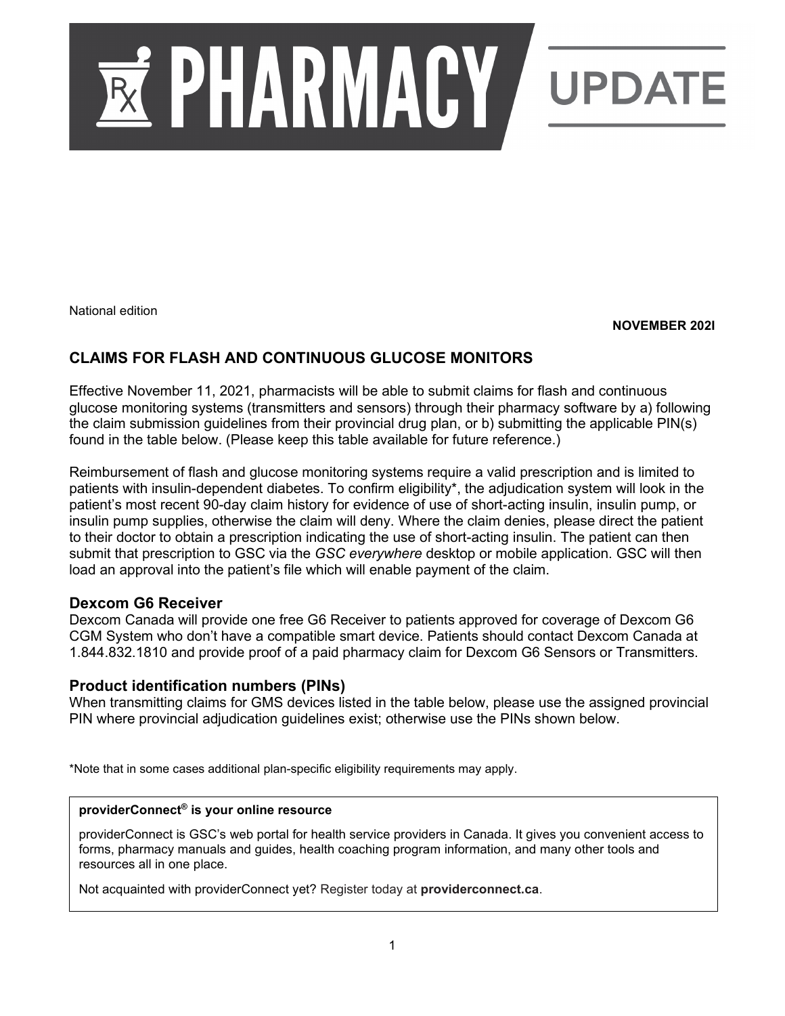

National edition

**NOVEMBER 202I**

## **CLAIMS FOR FLASH AND CONTINUOUS GLUCOSE MONITORS**

Effective November 11, 2021, pharmacists will be able to submit claims for flash and continuous glucose monitoring systems (transmitters and sensors) through their pharmacy software by a) following the claim submission guidelines from their provincial drug plan, or b) submitting the applicable PIN(s) found in the table below. (Please keep this table available for future reference.)

Reimbursement of flash and glucose monitoring systems require a valid prescription and is limited to patients with insulin-dependent diabetes. To confirm eligibility\*, the adjudication system will look in the patient's most recent 90-day claim history for evidence of use of short-acting insulin, insulin pump, or insulin pump supplies, otherwise the claim will deny. Where the claim denies, please direct the patient to their doctor to obtain a prescription indicating the use of short-acting insulin. The patient can then submit that prescription to GSC via the *GSC everywhere* desktop or mobile application. GSC will then load an approval into the patient's file which will enable payment of the claim.

### **Dexcom G6 Receiver**

Dexcom Canada will provide one free G6 Receiver to patients approved for coverage of Dexcom G6 CGM System who don't have a compatible smart device. Patients should contact Dexcom Canada at 1.844.832.1810 and provide proof of a paid pharmacy claim for Dexcom G6 Sensors or Transmitters.

### **Product identification numbers (PINs)**

When transmitting claims for GMS devices listed in the table below, please use the assigned provincial PIN where provincial adjudication guidelines exist; otherwise use the PINs shown below.

\*Note that in some cases additional plan-specific eligibility requirements may apply.

#### **providerConnect® is your online resource**

providerConnect is GSC's web portal for health service providers in Canada. It gives you convenient access to forms, pharmacy manuals and guides, health coaching program information, and many other tools and resources all in one place.

Not acquainted with providerConnect yet? Register today at **providerconnect.ca**.